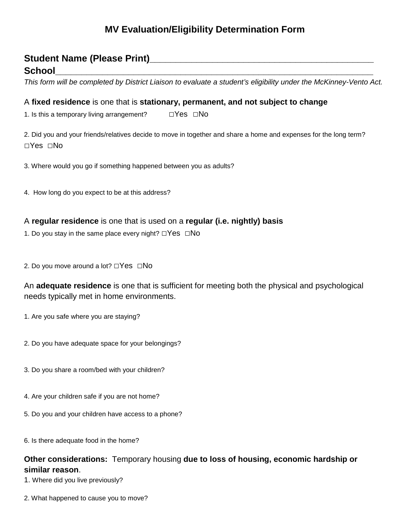# **MV Evaluation/Eligibility Determination Form**

### Student Name (Please Print)

# **School\_\_\_\_\_\_\_\_\_\_\_\_\_\_\_\_\_\_\_\_\_\_\_\_\_\_\_\_\_\_\_\_\_\_\_\_\_\_\_\_\_\_\_\_\_\_\_\_\_\_\_\_\_\_\_\_\_\_\_\_\_**

*This form will be completed by District Liaison to evaluate a student's eligibility under the McKinney-Vento Act.*

#### A **fixed residence** is one that is **stationary, permanent, and not subject to change**

1. Is this a temporary living arrangement?  $\square$  Yes  $\square$ No

2. Did you and your friends/relatives decide to move in together and share a home and expenses for the long term? □Yes □No

3. Where would you go if something happened between you as adults?

4. How long do you expect to be at this address?

#### A **regular residence** is one that is used on a **regular (i.e. nightly) basis**

1. Do you stay in the same place every night?  $\Box$ Yes  $\Box$ No

2. Do you move around a lot? □Yes □No

An **adequate residence** is one that is sufficient for meeting both the physical and psychological needs typically met in home environments.

- 1. Are you safe where you are staying?
- 2. Do you have adequate space for your belongings?
- 3. Do you share a room/bed with your children?
- 4. Are your children safe if you are not home?
- 5. Do you and your children have access to a phone?
- 6. Is there adequate food in the home?

### **Other considerations:** Temporary housing **due to loss of housing, economic hardship or similar reason**.

1. Where did you live previously?

2. What happened to cause you to move?